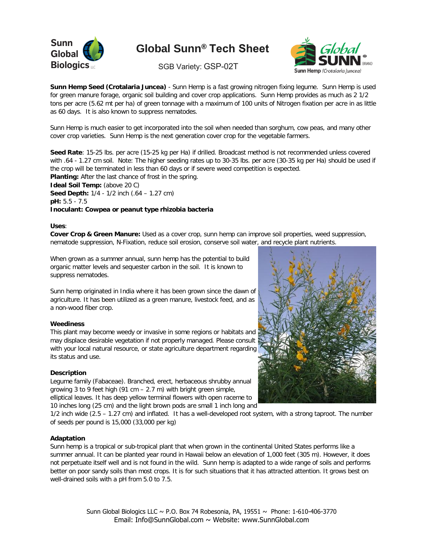

# **Global Sunn**® **Tech Sheet**

**Biologics** LLCC SGB Variety: GSP-02T



**Sunn Hemp Seed (Crotalaria Juncea)** - Sunn Hemp is a fast growing nitrogen fixing legume. Sunn Hemp is used for green manure forage, organic soil building and cover crop applications. Sunn Hemp provides as much as 2 1/2 tons per acre (5.62 mt per ha) of green tonnage with a maximum of 100 units of Nitrogen fixation per acre in as little as 60 days. It is also known to suppress nematodes.

Sunn Hemp is much easier to get incorporated into the soil when needed than sorghum, cow peas, and many other cover crop varieties. Sunn Hemp is the next generation cover crop for the vegetable farmers.

**Seed Rate**: 15-25 lbs. per acre (15-25 kg per Ha) if drilled. Broadcast method is not recommended unless covered with .64 - 1.27 cm soil. Note: The higher seeding rates up to 30-35 lbs. per acre (30-35 kg per Ha) should be used if the crop will be terminated in less than 60 days or if severe weed competition is expected. **Planting:** After the last chance of frost in the spring.

**Ideal Soil Temp:** (above 20 C) **Seed Depth:** 1/4 - 1/2 inch (.64 – 1.27 cm) **pH:** 5.5 - 7.5 **Inoculant: Cowpea or peanut type rhizobia bacteria**

#### **Uses**:

**Cover Crop & Green Manure:** Used as a cover crop, sunn hemp can improve soil properties, weed suppression, nematode suppression, N-Fixation, reduce soil erosion, conserve soil water, and recycle plant nutrients.

When grown as a summer annual, sunn hemp has the potential to build organic matter levels and sequester carbon in the soil. It is known to suppress nematodes.

Sunn hemp originated in India where it has been grown since the dawn of agriculture. It has been utilized as a green manure, livestock feed, and as a non-wood fiber crop.

#### **Weediness**

This plant may become weedy or invasive in some regions or habitats and may displace desirable vegetation if not properly managed. Please consult with your local natural resource, or state agriculture department regarding its status and use.

#### **Description**

Legume family (Fabaceae). Branched, erect, herbaceous shrubby annual growing 3 to 9 feet high (91 cm – 2.7 m) with bright green simple, elliptical leaves. It has deep yellow terminal flowers with open raceme to 10 inches long (25 cm) and the light brown pods are small 1 inch long and

1/2 inch wide (2.5 – 1.27 cm) and inflated. It has a well-developed root system, with a strong taproot. The number of seeds per pound is 15,000 (33,000 per kg)

#### **Adaptation**

Sunn hemp is a tropical or sub-tropical plant that when grown in the continental United States performs like a summer annual. It can be planted year round in Hawaii below an elevation of 1,000 feet (305 m). However, it does not perpetuate itself well and is not found in the wild. Sunn hemp is adapted to a wide range of soils and performs better on poor sandy soils than most crops. It is for such situations that it has attracted attention. It grows best on well-drained soils with a pH from 5.0 to 7.5.